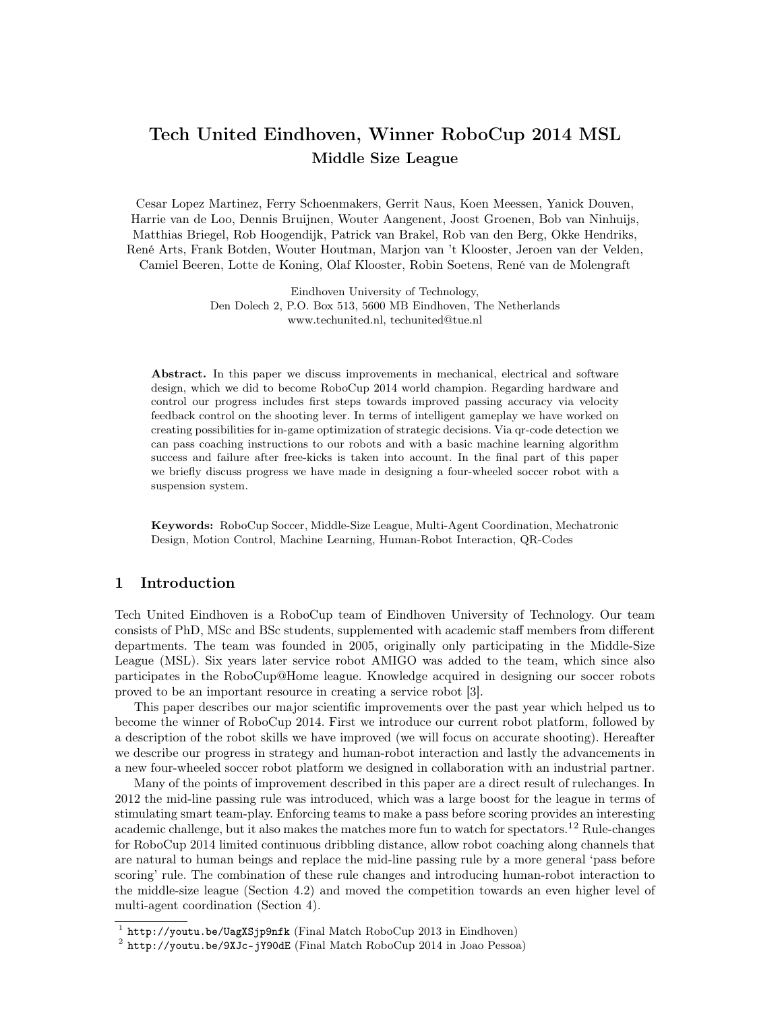# Tech United Eindhoven, Winner RoboCup 2014 MSL Middle Size League

Cesar Lopez Martinez, Ferry Schoenmakers, Gerrit Naus, Koen Meessen, Yanick Douven, Harrie van de Loo, Dennis Bruijnen, Wouter Aangenent, Joost Groenen, Bob van Ninhuijs, Matthias Briegel, Rob Hoogendijk, Patrick van Brakel, Rob van den Berg, Okke Hendriks, René Arts, Frank Botden, Wouter Houtman, Marjon van 't Klooster, Jeroen van der Velden, Camiel Beeren, Lotte de Koning, Olaf Klooster, Robin Soetens, René van de Molengraft

> Eindhoven University of Technology, Den Dolech 2, P.O. Box 513, 5600 MB Eindhoven, The Netherlands www.techunited.nl, techunited@tue.nl

Abstract. In this paper we discuss improvements in mechanical, electrical and software design, which we did to become RoboCup 2014 world champion. Regarding hardware and control our progress includes first steps towards improved passing accuracy via velocity feedback control on the shooting lever. In terms of intelligent gameplay we have worked on creating possibilities for in-game optimization of strategic decisions. Via qr-code detection we can pass coaching instructions to our robots and with a basic machine learning algorithm success and failure after free-kicks is taken into account. In the final part of this paper we briefly discuss progress we have made in designing a four-wheeled soccer robot with a suspension system.

Keywords: RoboCup Soccer, Middle-Size League, Multi-Agent Coordination, Mechatronic Design, Motion Control, Machine Learning, Human-Robot Interaction, QR-Codes

### 1 Introduction

Tech United Eindhoven is a RoboCup team of Eindhoven University of Technology. Our team consists of PhD, MSc and BSc students, supplemented with academic staff members from different departments. The team was founded in 2005, originally only participating in the Middle-Size League (MSL). Six years later service robot AMIGO was added to the team, which since also participates in the RoboCup@Home league. Knowledge acquired in designing our soccer robots proved to be an important resource in creating a service robot [\[3\]](#page-6-0).

This paper describes our major scientific improvements over the past year which helped us to become the winner of RoboCup 2014. First we introduce our current robot platform, followed by a description of the robot skills we have improved (we will focus on accurate shooting). Hereafter we describe our progress in strategy and human-robot interaction and lastly the advancements in a new four-wheeled soccer robot platform we designed in collaboration with an industrial partner.

Many of the points of improvement described in this paper are a direct result of rulechanges. In 2012 the mid-line passing rule was introduced, which was a large boost for the league in terms of stimulating smart team-play. Enforcing teams to make a pass before scoring provides an interesting academic challenge, but it also makes the matches more fun to watch for spectators.[1](#page-0-0)[2](#page-0-1) Rule-changes for RoboCup 2014 limited continuous dribbling distance, allow robot coaching along channels that are natural to human beings and replace the mid-line passing rule by a more general 'pass before scoring' rule. The combination of these rule changes and introducing human-robot interaction to the middle-size league (Section [4.2\)](#page-4-0) and moved the competition towards an even higher level of multi-agent coordination (Section [4\)](#page-4-1).

<span id="page-0-0"></span> $^1$  <http://youtu.be/UagXSjp9nfk> (Final Match RoboCup 2013 in Eindhoven)

<span id="page-0-1"></span> $^2$  <http://youtu.be/9XJc-jY90dE> (Final Match RoboCup 2014 in Joao Pessoa)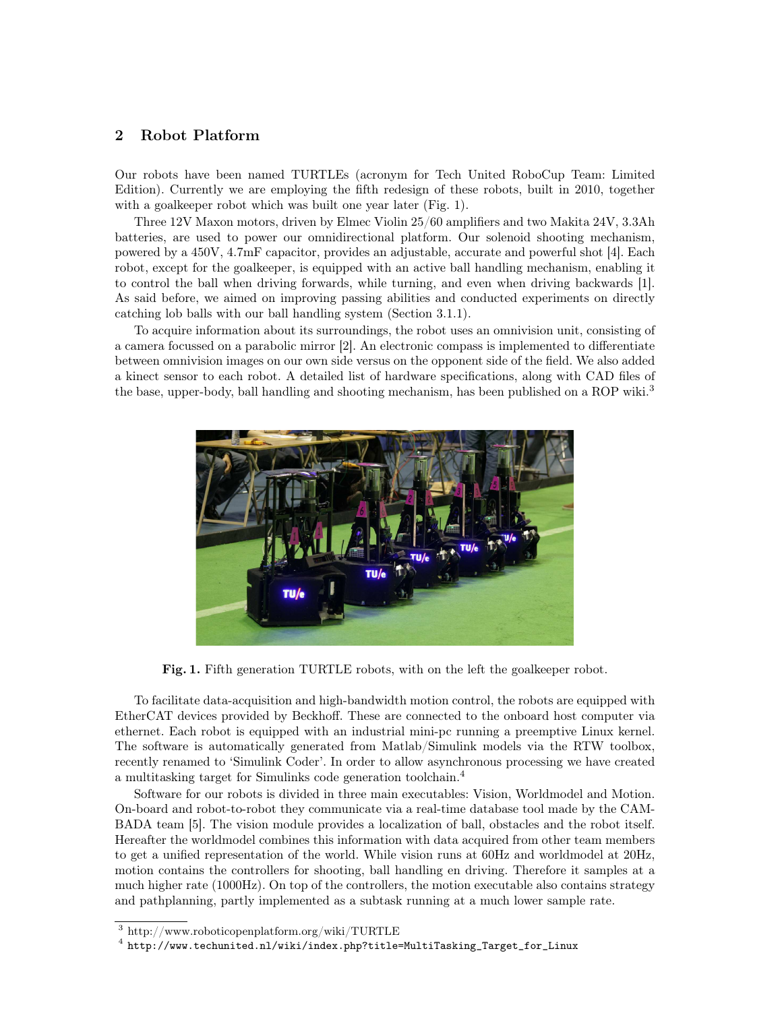### 2 Robot Platform

Our robots have been named TURTLEs (acronym for Tech United RoboCup Team: Limited Edition). Currently we are employing the fifth redesign of these robots, built in 2010, together with a goalkeeper robot which was built one year later (Fig. [1\)](#page-1-0).

Three 12V Maxon motors, driven by Elmec Violin 25/60 amplifiers and two Makita 24V, 3.3Ah batteries, are used to power our omnidirectional platform. Our solenoid shooting mechanism, powered by a 450V, 4.7mF capacitor, provides an adjustable, accurate and powerful shot [\[4\]](#page-6-1). Each robot, except for the goalkeeper, is equipped with an active ball handling mechanism, enabling it to control the ball when driving forwards, while turning, and even when driving backwards [\[1\]](#page-6-2). As said before, we aimed on improving passing abilities and conducted experiments on directly catching lob balls with our ball handling system (Section [3.1.1\)](#page-2-0).

To acquire information about its surroundings, the robot uses an omnivision unit, consisting of a camera focussed on a parabolic mirror [\[2\]](#page-6-3). An electronic compass is implemented to differentiate between omnivision images on our own side versus on the opponent side of the field. We also added a kinect sensor to each robot. A detailed list of hardware specifications, along with CAD files of the base, upper-body, ball handling and shooting mechanism, has been published on a ROP wiki.<sup>[3](#page-1-1)</sup>



Fig. 1. Fifth generation TURTLE robots, with on the left the goalkeeper robot.

<span id="page-1-0"></span>To facilitate data-acquisition and high-bandwidth motion control, the robots are equipped with EtherCAT devices provided by Beckhoff. These are connected to the onboard host computer via ethernet. Each robot is equipped with an industrial mini-pc running a preemptive Linux kernel. The software is automatically generated from Matlab/Simulink models via the RTW toolbox, recently renamed to 'Simulink Coder'. In order to allow asynchronous processing we have created a multitasking target for Simulinks code generation toolchain.[4](#page-1-2)

Software for our robots is divided in three main executables: Vision, Worldmodel and Motion. On-board and robot-to-robot they communicate via a real-time database tool made by the CAM-BADA team [\[5\]](#page-6-4). The vision module provides a localization of ball, obstacles and the robot itself. Hereafter the worldmodel combines this information with data acquired from other team members to get a unified representation of the world. While vision runs at 60Hz and worldmodel at 20Hz, motion contains the controllers for shooting, ball handling en driving. Therefore it samples at a much higher rate (1000Hz). On top of the controllers, the motion executable also contains strategy and pathplanning, partly implemented as a subtask running at a much lower sample rate.

<span id="page-1-1"></span><sup>3</sup> <http://www.roboticopenplatform.org/wiki/TURTLE>

<span id="page-1-2"></span> $^4$  [http://www.techunited.nl/wiki/index.php?title=MultiTasking\\_Target\\_for\\_Linux](http://www.techunited.nl/wiki/index.php?title=MultiTasking_Target_for_Linux)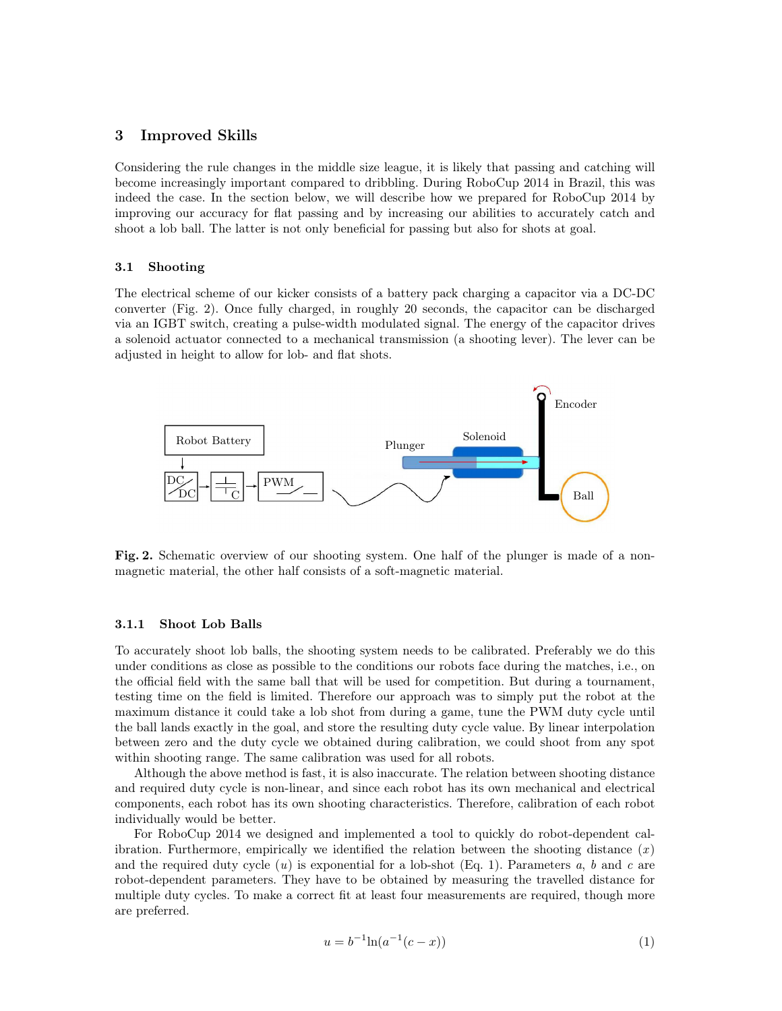### 3 Improved Skills

Considering the rule changes in the middle size league, it is likely that passing and catching will become increasingly important compared to dribbling. During RoboCup 2014 in Brazil, this was indeed the case. In the section below, we will describe how we prepared for RoboCup 2014 by improving our accuracy for flat passing and by increasing our abilities to accurately catch and shoot a lob ball. The latter is not only beneficial for passing but also for shots at goal.

#### 3.1 Shooting

The electrical scheme of our kicker consists of a battery pack charging a capacitor via a DC-DC converter (Fig. [2\)](#page-2-1). Once fully charged, in roughly 20 seconds, the capacitor can be discharged via an IGBT switch, creating a pulse-width modulated signal. The energy of the capacitor drives a solenoid actuator connected to a mechanical transmission (a shooting lever). The lever can be adjusted in height to allow for lob- and flat shots.



<span id="page-2-1"></span>Fig. 2. Schematic overview of our shooting system. One half of the plunger is made of a nonmagnetic material, the other half consists of a soft-magnetic material.

### <span id="page-2-0"></span>3.1.1 Shoot Lob Balls

To accurately shoot lob balls, the shooting system needs to be calibrated. Preferably we do this under conditions as close as possible to the conditions our robots face during the matches, i.e., on the official field with the same ball that will be used for competition. But during a tournament, testing time on the field is limited. Therefore our approach was to simply put the robot at the maximum distance it could take a lob shot from during a game, tune the PWM duty cycle until the ball lands exactly in the goal, and store the resulting duty cycle value. By linear interpolation between zero and the duty cycle we obtained during calibration, we could shoot from any spot within shooting range. The same calibration was used for all robots.

Although the above method is fast, it is also inaccurate. The relation between shooting distance and required duty cycle is non-linear, and since each robot has its own mechanical and electrical components, each robot has its own shooting characteristics. Therefore, calibration of each robot individually would be better.

<span id="page-2-2"></span>For RoboCup 2014 we designed and implemented a tool to quickly do robot-dependent calibration. Furthermore, empirically we identified the relation between the shooting distance  $(x)$ and the required duty cycle (u) is exponential for a lob-shot (Eq. [1\)](#page-2-2). Parameters a, b and c are robot-dependent parameters. They have to be obtained by measuring the travelled distance for multiple duty cycles. To make a correct fit at least four measurements are required, though more are preferred.

$$
u = b^{-1} \ln(a^{-1}(c - x))
$$
\n(1)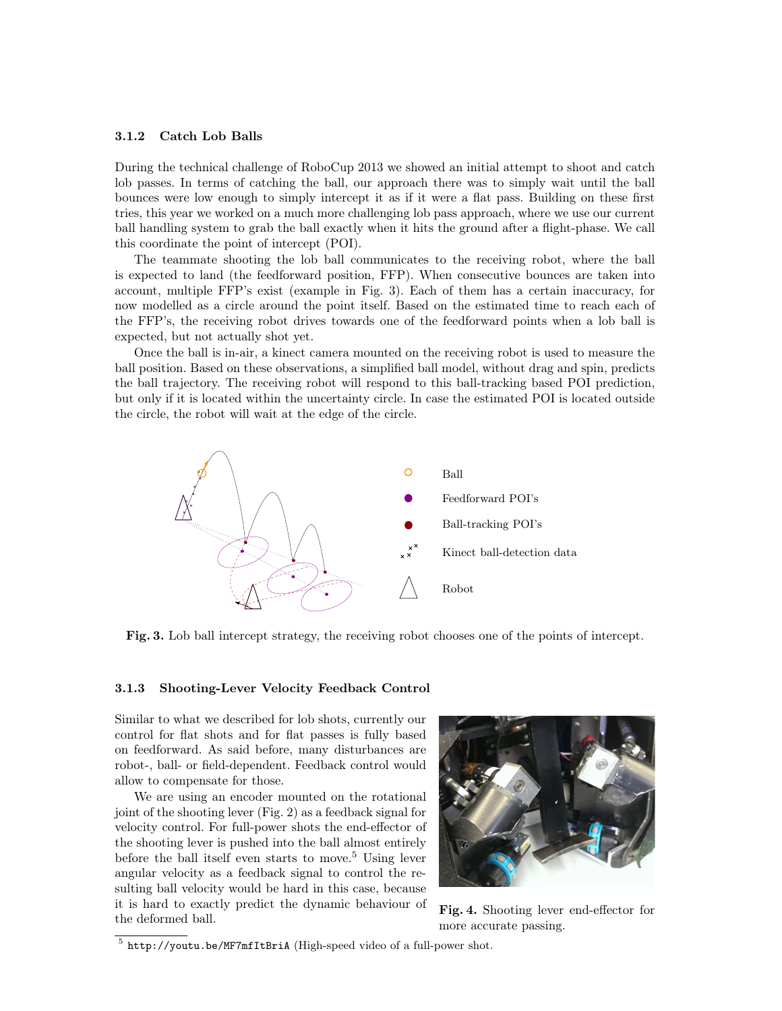### 3.1.2 Catch Lob Balls

During the technical challenge of RoboCup 2013 we showed an initial attempt to shoot and catch lob passes. In terms of catching the ball, our approach there was to simply wait until the ball bounces were low enough to simply intercept it as if it were a flat pass. Building on these first tries, this year we worked on a much more challenging lob pass approach, where we use our current ball handling system to grab the ball exactly when it hits the ground after a flight-phase. We call this coordinate the point of intercept (POI).

The teammate shooting the lob ball communicates to the receiving robot, where the ball is expected to land (the feedforward position, FFP). When consecutive bounces are taken into account, multiple FFP's exist (example in Fig. [3\)](#page-3-0). Each of them has a certain inaccuracy, for now modelled as a circle around the point itself. Based on the estimated time to reach each of the FFP's, the receiving robot drives towards one of the feedforward points when a lob ball is expected, but not actually shot yet.

Once the ball is in-air, a kinect camera mounted on the receiving robot is used to measure the ball position. Based on these observations, a simplified ball model, without drag and spin, predicts the ball trajectory. The receiving robot will respond to this ball-tracking based POI prediction, but only if it is located within the uncertainty circle. In case the estimated POI is located outside the circle, the robot will wait at the edge of the circle.



<span id="page-3-0"></span>Fig. 3. Lob ball intercept strategy, the receiving robot chooses one of the points of intercept.

### 3.1.3 Shooting-Lever Velocity Feedback Control

Similar to what we described for lob shots, currently our control for flat shots and for flat passes is fully based on feedforward. As said before, many disturbances are robot-, ball- or field-dependent. Feedback control would allow to compensate for those.

We are using an encoder mounted on the rotational joint of the shooting lever (Fig. [2\)](#page-2-1) as a feedback signal for velocity control. For full-power shots the end-effector of the shooting lever is pushed into the ball almost entirely before the ball itself even starts to move.<sup>[5](#page-3-1)</sup> Using lever angular velocity as a feedback signal to control the resulting ball velocity would be hard in this case, because it is hard to exactly predict the dynamic behaviour of the deformed ball.

<span id="page-3-2"></span>

Fig. 4. Shooting lever end-effector for more accurate passing.

<span id="page-3-1"></span> $^5$  <http://youtu.be/MF7mfItBriA> (High-speed video of a full-power shot.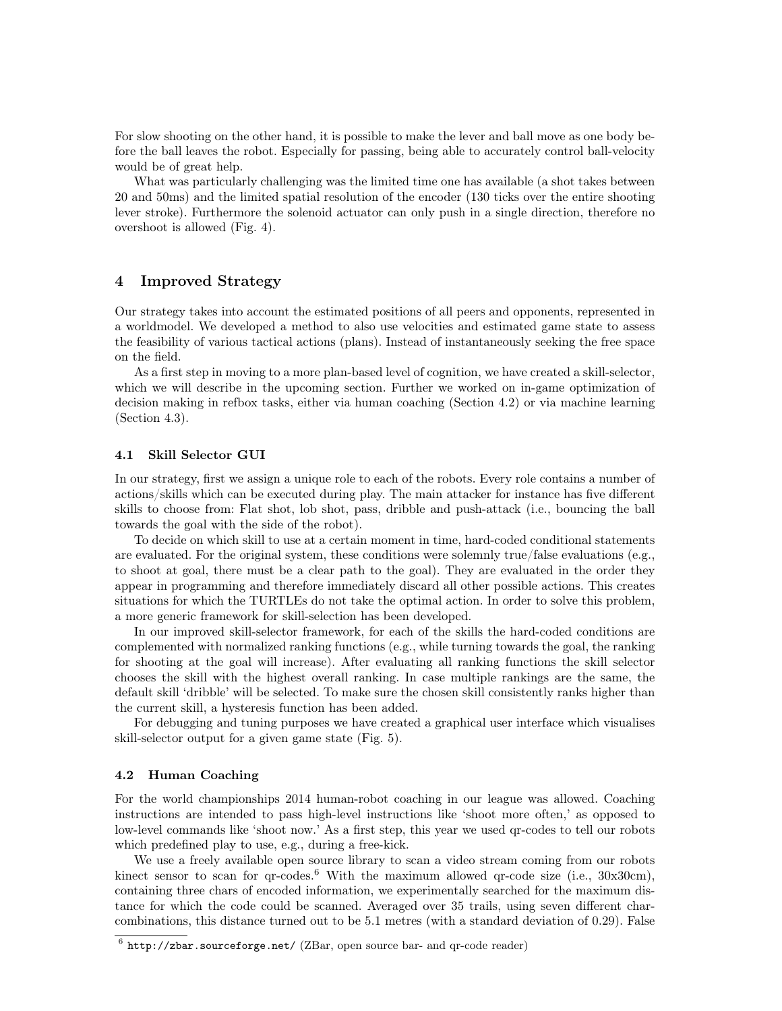For slow shooting on the other hand, it is possible to make the lever and ball move as one body before the ball leaves the robot. Especially for passing, being able to accurately control ball-velocity would be of great help.

What was particularly challenging was the limited time one has available (a shot takes between 20 and 50ms) and the limited spatial resolution of the encoder (130 ticks over the entire shooting lever stroke). Furthermore the solenoid actuator can only push in a single direction, therefore no overshoot is allowed (Fig. [4\)](#page-3-2).

### <span id="page-4-1"></span>4 Improved Strategy

Our strategy takes into account the estimated positions of all peers and opponents, represented in a worldmodel. We developed a method to also use velocities and estimated game state to assess the feasibility of various tactical actions (plans). Instead of instantaneously seeking the free space on the field.

As a first step in moving to a more plan-based level of cognition, we have created a skill-selector, which we will describe in the upcoming section. Further we worked on in-game optimization of decision making in refbox tasks, either via human coaching (Section [4.2\)](#page-4-0) or via machine learning (Section [4.3\)](#page-5-0).

### 4.1 Skill Selector GUI

In our strategy, first we assign a unique role to each of the robots. Every role contains a number of actions/skills which can be executed during play. The main attacker for instance has five different skills to choose from: Flat shot, lob shot, pass, dribble and push-attack (i.e., bouncing the ball towards the goal with the side of the robot).

To decide on which skill to use at a certain moment in time, hard-coded conditional statements are evaluated. For the original system, these conditions were solemnly true/false evaluations (e.g., to shoot at goal, there must be a clear path to the goal). They are evaluated in the order they appear in programming and therefore immediately discard all other possible actions. This creates situations for which the TURTLEs do not take the optimal action. In order to solve this problem, a more generic framework for skill-selection has been developed.

In our improved skill-selector framework, for each of the skills the hard-coded conditions are complemented with normalized ranking functions (e.g., while turning towards the goal, the ranking for shooting at the goal will increase). After evaluating all ranking functions the skill selector chooses the skill with the highest overall ranking. In case multiple rankings are the same, the default skill 'dribble' will be selected. To make sure the chosen skill consistently ranks higher than the current skill, a hysteresis function has been added.

For debugging and tuning purposes we have created a graphical user interface which visualises skill-selector output for a given game state (Fig. [5\)](#page-5-1).

#### <span id="page-4-0"></span>4.2 Human Coaching

For the world championships 2014 human-robot coaching in our league was allowed. Coaching instructions are intended to pass high-level instructions like 'shoot more often,' as opposed to low-level commands like 'shoot now.' As a first step, this year we used qr-codes to tell our robots which predefined play to use, e.g., during a free-kick.

We use a freely available open source library to scan a video stream coming from our robots kinect sensor to scan for  $qr\text{-codes}$ . With the maximum allowed  $qr\text{-code size}$  (i.e.,  $30x30cm$ ), containing three chars of encoded information, we experimentally searched for the maximum distance for which the code could be scanned. Averaged over 35 trails, using seven different charcombinations, this distance turned out to be 5.1 metres (with a standard deviation of 0.29). False

<span id="page-4-2"></span> $^6$  <http://zbar.sourceforge.net/> (ZBar, open source bar- and qr-code reader)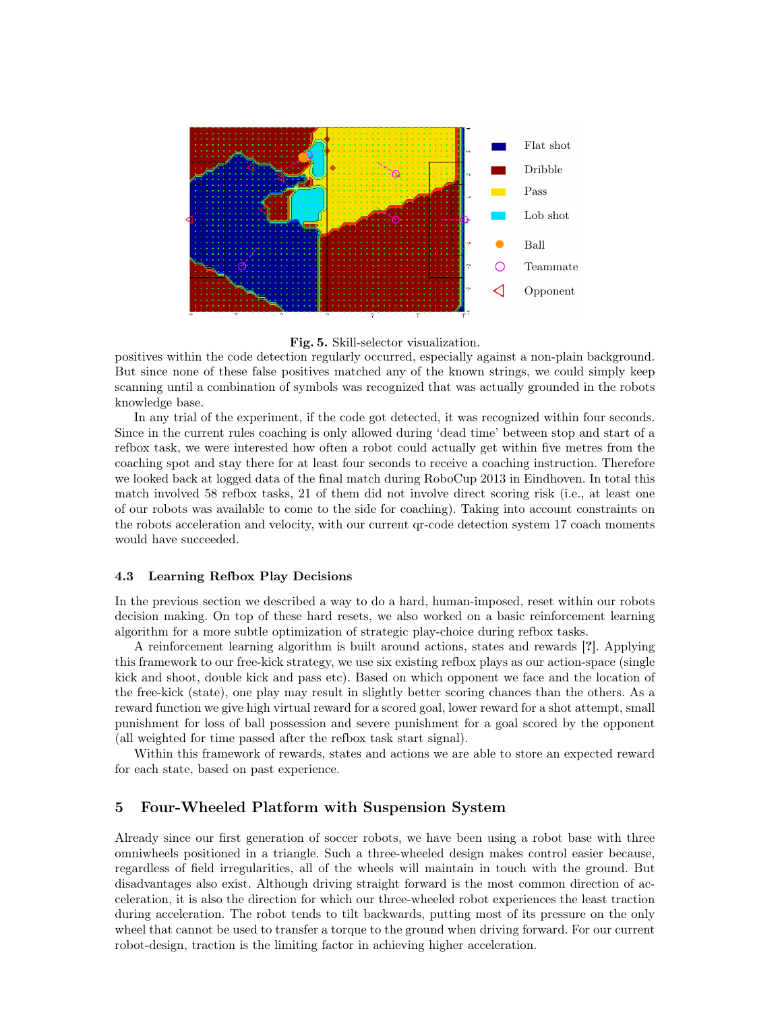

<span id="page-5-1"></span>Fig. 5. Skill-selector visualization.

positives within the code detection regularly occurred, especially against a non-plain background. But since none of these false positives matched any of the known strings, we could simply keep scanning until a combination of symbols was recognized that was actually grounded in the robots knowledge base.

In any trial of the experiment, if the code got detected, it was recognized within four seconds. Since in the current rules coaching is only allowed during 'dead time' between stop and start of a refbox task, we were interested how often a robot could actually get within five metres from the coaching spot and stay there for at least four seconds to receive a coaching instruction. Therefore we looked back at logged data of the final match during RoboCup 2013 in Eindhoven. In total this match involved 58 refbox tasks, 21 of them did not involve direct scoring risk (i.e., at least one of our robots was available to come to the side for coaching). Taking into account constraints on the robots acceleration and velocity, with our current qr-code detection system 17 coach moments would have succeeded.

### <span id="page-5-0"></span>4.3 Learning Refbox Play Decisions

In the previous section we described a way to do a hard, human-imposed, reset within our robots decision making. On top of these hard resets, we also worked on a basic reinforcement learning algorithm for a more subtle optimization of strategic play-choice during refbox tasks.

A reinforcement learning algorithm is built around actions, states and rewards [?]. Applying this framework to our free-kick strategy, we use six existing refbox plays as our action-space (single kick and shoot, double kick and pass etc). Based on which opponent we face and the location of the free-kick (state), one play may result in slightly better scoring chances than the others. As a reward function we give high virtual reward for a scored goal, lower reward for a shot attempt, small punishment for loss of ball possession and severe punishment for a goal scored by the opponent (all weighted for time passed after the refbox task start signal).

Within this framework of rewards, states and actions we are able to store an expected reward for each state, based on past experience.

### 5 Four-Wheeled Platform with Suspension System

Already since our first generation of soccer robots, we have been using a robot base with three omniwheels positioned in a triangle. Such a three-wheeled design makes control easier because, regardless of field irregularities, all of the wheels will maintain in touch with the ground. But disadvantages also exist. Although driving straight forward is the most common direction of acceleration, it is also the direction for which our three-wheeled robot experiences the least traction during acceleration. The robot tends to tilt backwards, putting most of its pressure on the only wheel that cannot be used to transfer a torque to the ground when driving forward. For our current robot-design, traction is the limiting factor in achieving higher acceleration.